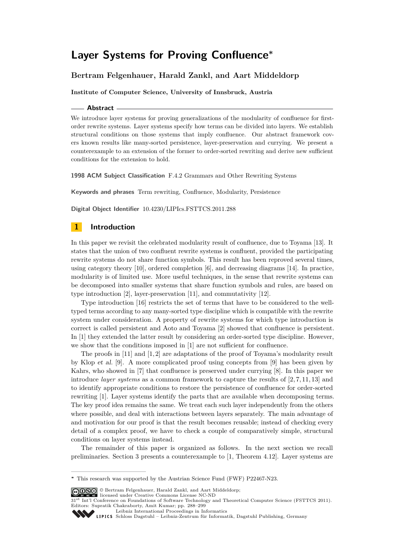# **Layer Systems for Proving Confluence<sup>∗</sup>**

# **Bertram Felgenhauer, Harald Zankl, and Aart Middeldorp**

**Institute of Computer Science, University of Innsbruck, Austria**

#### **Abstract**

We introduce layer systems for proving generalizations of the modularity of confluence for firstorder rewrite systems. Layer systems specify how terms can be divided into layers. We establish structural conditions on those systems that imply confluence. Our abstract framework covers known results like many-sorted persistence, layer-preservation and currying. We present a counterexample to an extension of the former to order-sorted rewriting and derive new sufficient conditions for the extension to hold.

**1998 ACM Subject Classification** F.4.2 Grammars and Other Rewriting Systems

**Keywords and phrases** Term rewriting, Confluence, Modularity, Persistence

**Digital Object Identifier** [10.4230/LIPIcs.FSTTCS.2011.288](http://dx.doi.org/10.4230/LIPIcs.FSTTCS.2011.288)

# **1 Introduction**

In this paper we revisit the celebrated modularity result of confluence, due to Toyama [\[13\]](#page-11-0). It states that the union of two confluent rewrite systems is confluent, provided the participating rewrite systems do not share function symbols. This result has been reproved several times, using category theory  $[10]$ , ordered completion  $[6]$ , and decreasing diagrams  $[14]$ . In practice, modularity is of limited use. More useful techniques, in the sense that rewrite systems can be decomposed into smaller systems that share function symbols and rules, are based on type introduction [\[2\]](#page-11-4), layer-preservation [\[11\]](#page-11-5), and commutativity [\[12\]](#page-11-6).

Type introduction [\[16\]](#page-11-7) restricts the set of terms that have to be considered to the welltyped terms according to any many-sorted type discipline which is compatible with the rewrite system under consideration. A property of rewrite systems for which type introduction is correct is called persistent and Aoto and Toyama [\[2\]](#page-11-4) showed that confluence is persistent. In [\[1\]](#page-11-8) they extended the latter result by considering an order-sorted type discipline. However, we show that the conditions imposed in [\[1\]](#page-11-8) are not sufficient for confluence.

The proofs in [\[11\]](#page-11-5) and [\[1,](#page-11-8)2] are adaptations of the proof of Toyama's modularity result by Klop et al. [\[9\]](#page-11-9). A more complicated proof using concepts from [\[9\]](#page-11-9) has been given by Kahrs, who showed in [\[7\]](#page-11-10) that confluence is preserved under currying [\[8\]](#page-11-11). In this paper we introduce *layer systems* as a common framework to capture the results of [\[2,](#page-11-4) [7,](#page-11-10) [11,](#page-11-5) [13\]](#page-11-0) and to identify appropriate conditions to restore the persistence of confluence for order-sorted rewriting [\[1\]](#page-11-8). Layer systems identify the parts that are available when decomposing terms. The key proof idea remains the same. We treat each such layer independently from the others where possible, and deal with interactions between layers separately. The main advantage of and motivation for our proof is that the result becomes reusable; instead of checking every detail of a complex proof, we have to check a couple of comparatively simple, structural conditions on layer systems instead.

The remainder of this paper is organized as follows. In the next section we recall preliminaries. Section [3](#page-1-0) presents a counterexample to [\[1,](#page-11-8) Theorem 4.12]. Layer systems are

© Bertram Felgenhauer, Harald Zankl, and Aart Middeldorp; licensed under Creative Commons License NC-ND

[Leibniz International Proceedings in Informatics](http://www.dagstuhl.de/lipics/)

**<sup>∗</sup>** This research was supported by the Austrian Science Fund (FWF) P22467-N23.

<sup>31&</sup>lt;sup>st</sup> Int'l Conference on Foundations of Software Technology and Theoretical Computer Science (FSTTCS 2011). Editors: Supratik Chakraborty, Amit Kumar; pp. 288[–299](#page-11-12)

Leibniz international Froceedings in informatik, Dagstuhl Publishing, Germany<br>LIPICS [Schloss Dagstuhl – Leibniz-Zentrum für Informatik, Dagstuhl Publishing, Germany](http://www.dagstuhl.de)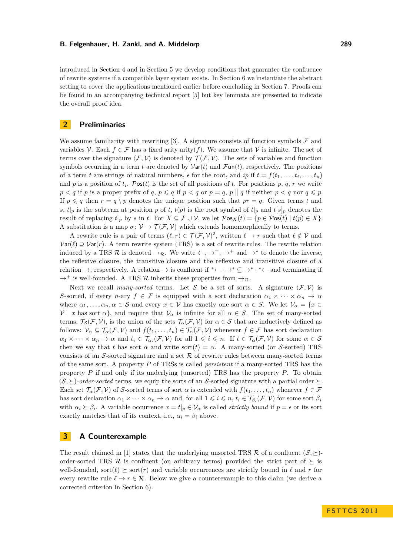introduced in Section [4](#page-2-0) and in Section [5](#page-4-0) we develop conditions that guarantee the confluence of rewrite systems if a compatible layer system exists. In Section [6](#page-8-0) we instantiate the abstract setting to cover the applications mentioned earlier before concluding in Section [7.](#page-10-0) Proofs can be found in an accompanying technical report [\[5\]](#page-11-13) but key lemmata are presented to indicate the overall proof idea.

### **2 Preliminaries**

We assume familiarity with rewriting [\[3\]](#page-11-14). A signature consists of function symbols  $\mathcal F$  and variables V. Each  $f \in \mathcal{F}$  has a fixed arity arity(*f*). We assume that V is infinite. The set of terms over the signature  $\langle \mathcal{F}, \mathcal{V} \rangle$  is denoted by  $\mathcal{T}(\mathcal{F}, \mathcal{V})$ . The sets of variables and function symbols occurring in a term *t* are denoted by  $\text{Var}(t)$  and  $\text{Fun}(t)$ , respectively. The positions of a term *t* are strings of natural numbers,  $\epsilon$  for the root, and *ip* if  $t = f(t_1, \ldots, t_i, \ldots, t_n)$ and *p* is a position of  $t_i$ . Pos(*t*) is the set of all positions of *t*. For positions *p*, *q*, *r* we write  $p < q$  if *p* is a proper prefix of *q*,  $p \leq q$  if  $p < q$  or  $p = q$ ,  $p \parallel q$  if neither  $p < q$  nor  $q \leq p$ . If  $p \leq q$  then  $r = q \nvert p$  denotes the unique position such that  $pr = q$ . Given terms t and *s*,  $t|_p$  is the subterm at position *p* of *t*,  $t(p)$  is the root symbol of  $t|_p$  and  $t[s]_p$  denotes the result of replacing  $t|_p$  by *s* in *t*. For  $X \subseteq \mathcal{F} \cup \mathcal{V}$ , we let  $\mathcal{P}$ os $\chi(t) = \{p \in \mathcal{P}$ os $(t) \mid t(p) \in X\}$ . A substitution is a map  $\sigma: \mathcal{V} \to \mathcal{T}(\mathcal{F}, \mathcal{V})$  which extends homomorphically to terms.

A rewrite rule is a pair of terms  $(\ell, r) \in \mathcal{T}(\mathcal{F}, \mathcal{V})^2$ , written  $\ell \to r$  such that  $\ell \notin \mathcal{V}$  and  $Var(\ell) \supset Var(r)$ . A term rewrite system (TRS) is a set of rewrite rules. The rewrite relation induced by a TRS R is denoted  $\rightarrow_{\mathcal{R}}$ . We write  $\leftarrow, \rightarrow^= , \rightarrow^+$  and  $\rightarrow^*$  to denote the inverse, the reflexive closure, the transitive closure and the reflexive and transitive closure of a relation  $\rightarrow$ , respectively. A relation  $\rightarrow$  is confluent if \* $\leftarrow \rightarrow^* \subseteq \rightarrow^*$   $\rightarrow^* \leftarrow$  and terminating if  $\rightarrow^+$  is well-founded. A TRS  $\mathcal R$  inherits these properties from  $\rightarrow_{\mathcal R}$ .

Next we recall *many-sorted* terms. Let S be a set of sorts. A signature  $\langle \mathcal{F}, \mathcal{V} \rangle$  is *S*-sorted, if every *n*-ary  $f \in \mathcal{F}$  is equipped with a sort declaration  $\alpha_1 \times \cdots \times \alpha_n \to \alpha$ where  $\alpha_1, \ldots, \alpha_n, \alpha \in \mathcal{S}$  and every  $x \in \mathcal{V}$  has exactly one sort  $\alpha \in S$ . We let  $\mathcal{V}_\alpha = \{x \in \mathcal{V} \mid x \in \mathcal{V} \}$  $V \mid x$  has sort  $\alpha$ , and require that  $V_\alpha$  is infinite for all  $\alpha \in S$ . The set of many-sorted terms,  $\mathcal{T}_{\mathcal{S}}(\mathcal{F}, \mathcal{V})$ , is the union of the sets  $\mathcal{T}_{\alpha}(\mathcal{F}, \mathcal{V})$  for  $\alpha \in \mathcal{S}$  that are inductively defined as follows:  $V_\alpha \subseteq \mathcal{T}_\alpha(\mathcal{F}, \mathcal{V})$  and  $f(t_1, \ldots, t_n) \in \mathcal{T}_\alpha(\mathcal{F}, \mathcal{V})$  whenever  $f \in \mathcal{F}$  has sort declaration  $\alpha_1 \times \cdots \times \alpha_n \to \alpha$  and  $t_i \in \mathcal{T}_{\alpha_i}(\mathcal{F}, \mathcal{V})$  for all  $1 \leqslant i \leqslant n$ . If  $t \in \mathcal{T}_{\alpha}(\mathcal{F}, \mathcal{V})$  for some  $\alpha \in \mathcal{S}$ then we say that *t* has sort  $\alpha$  and write sort(*t*) =  $\alpha$ . A many-sorted (or S-sorted) TRS consists of an S-sorted signature and a set  $R$  of rewrite rules between many-sorted terms of the same sort. A property *P* of TRSs is called *persistent* if a many-sorted TRS has the property *P* if and only if its underlying (unsorted) TRS has the property *P*. To obtain  $(S, \geq)$ -order-sorted terms, we equip the sorts of an S-sorted signature with a partial order  $\succeq$ . Each set  $\mathcal{T}_{\alpha}(\mathcal{F}, \mathcal{V})$  of S-sorted terms of sort  $\alpha$  is extended with  $f(t_1, \ldots, t_n)$  whenever  $f \in \mathcal{F}$ has sort declaration  $\alpha_1 \times \cdots \times \alpha_n \to \alpha$  and, for all  $1 \leqslant i \leqslant n$ ,  $t_i \in \mathcal{T}_{\beta_i}(\mathcal{F}, \mathcal{V})$  for some sort  $\beta_i$ with  $\alpha_i \geq \beta_i$ . A variable occurrence  $x = t|_p \in V_\alpha$  is called *strictly bound* if  $p = \epsilon$  or its sort exactly matches that of its context, i.e.,  $\alpha_i = \beta_i$  above.

# <span id="page-1-0"></span>**3 A Counterexample**

The result claimed in [\[1\]](#page-11-8) states that the underlying unsorted TRS  $\mathcal R$  of a confluent  $(\mathcal S, \succeq)$ order-sorted TRS R is confluent (on arbitrary terms) provided the strict part of  $\succeq$  is well-founded, sort( $\ell$ )  $\succeq$  sort( $r$ ) and variable occurrences are strictly bound in  $\ell$  and  $r$  for every rewrite rule  $\ell \to r \in \mathcal{R}$ . Below we give a counterexample to this claim (we derive a corrected criterion in Section [6\)](#page-8-0).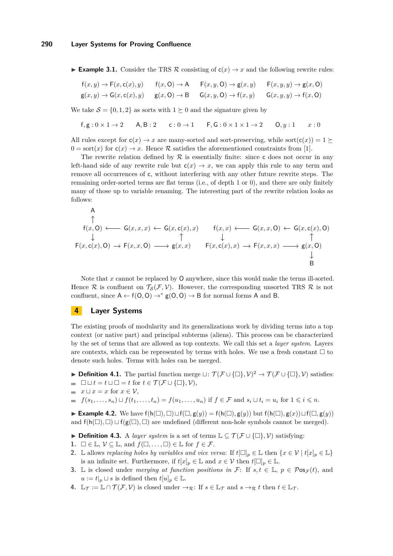**Example 3.1.** Consider the TRS R consisting of  $c(x) \rightarrow x$  and the following rewrite rules:

$$
f(x,y) \to F(x,c(x),y) \qquad f(x,0) \to A \qquad F(x,y,0) \to g(x,y) \qquad F(x,y,y) \to g(x,0)
$$
  

$$
g(x,y) \to G(x,c(x),y) \qquad g(x,0) \to B \qquad G(x,y,0) \to f(x,y) \qquad G(x,y,y) \to f(x,0)
$$

We take  $S = \{0, 1, 2\}$  as sorts with  $1 \succeq 0$  and the signature given by

$$
\mathsf{f}, \mathsf{g}: 0 \times 1 \to 2 \qquad \mathsf{A}, \mathsf{B}: 2 \qquad \mathsf{c}: 0 \to 1 \qquad \mathsf{F}, \mathsf{G}: 0 \times 1 \times 1 \to 2 \qquad \mathsf{O}, y: 1 \qquad x: 0
$$

All rules except for  $c(x) \to x$  are many-sorted and sort-preserving, while sort $(c(x)) = 1 \succeq$  $0 = \text{sort}(x)$  for  $c(x) \rightarrow x$ . Hence R satisfies the aforementioned constraints from [\[1\]](#page-11-8).

The rewrite relation defined by  $R$  is essentially finite: since c does not occur in any left-hand side of any rewrite rule but  $c(x) \rightarrow x$ , we can apply this rule to any term and remove all occurrences of c, without interfering with any other future rewrite steps. The remaining order-sorted terms are flat terms (i.e., of depth 1 or 0), and there are only finitely many of those up to variable renaming. The interesting part of the rewrite relation looks as follows:

A  
\n
$$
f(x, 0) \longleftarrow G(x, x, x) \leftarrow G(x, c(x), x)
$$
  
\n $\downarrow$   
\n $f(x, 0) \longleftarrow f(x, x, 0) \rightarrow F(x, x, 0) \rightarrow g(x, x)$   
\n $f(x, c(x), x) \rightarrow F(x, x, x) \rightarrow g(x, 0)$   
\n $\downarrow$   
\n $f(x, c(x), x) \rightarrow F(x, x, x) \rightarrow g(x, 0)$   
\n $\downarrow$   
\nB

Note that *x* cannot be replaced by O anywhere, since this would make the terms ill-sorted. Hence R is confluent on  $\mathcal{T}_{\mathcal{S}}(\mathcal{F}, \mathcal{V})$ . However, the corresponding unsorted TRS R is not confluent, since  $A \leftarrow f(0,0) \rightarrow^* g(0,0) \rightarrow B$  for normal forms A and B.

# <span id="page-2-0"></span>**4 Layer Systems**

The existing proofs of modularity and its generalizations work by dividing terms into a top context (or native part) and principal subterms (aliens). This process can be characterized by the set of terms that are allowed as top contexts. We call this set a *layer system*. Layers are contexts, which can be represented by terms with holes. We use a fresh constant  $\Box$  to denote such holes. Terms with holes can be merged.

- **▶ Definition 4.1.** The partial function merge  $\sqcup : \mathcal{T}(\mathcal{F} \cup \{\Box\}, \mathcal{V})^2 \rightarrow \mathcal{T}(\mathcal{F} \cup \{\Box\}, \mathcal{V})$  satisfies:
- $\blacksquare$   $\Box$   $\Box$   $t = t \sqcup \Box = t$  for  $t \in \mathcal{T}(\mathcal{F} \cup \{\Box\}, \mathcal{V}),$
- $\blacksquare$  *x*  $\sqcup$  *x* = *x* for *x* ∈  $\mathcal{V}$ ,
- $f(s_1,\ldots,s_n)\sqcup f(t_1,\ldots,t_n)=f(u_1,\ldots,u_n)$  if  $f\in\mathcal{F}$  and  $s_i\sqcup t_i=u_i$  for  $1\leqslant i\leqslant n$ .

**Example 4.2.** We have  $f(h(\Box), \Box) \sqcup f(\Box, g(y)) = f(h(\Box), g(y))$  but  $f(h(\Box), g(x)) \sqcup f(\Box, g(y))$ and  $f(h(\Box), \Box) \sqcup f(g(\Box), \Box)$  are undefined (different non-hole symbols cannot be merged).

- <span id="page-2-1"></span>**▶ Definition 4.3.** A *layer system* is a set of terms  $\mathbb{L} \subseteq \mathcal{T}(\mathcal{F} \cup \{\Box\}, \mathcal{V})$  satisfying:
- **1.**  $\square \in \mathbb{L}, \mathcal{V} \subseteq \mathbb{L}, \text{ and } f(\square, \dots, \square) \in \mathbb{L} \text{ for } f \in \mathcal{F}.$
- **2.** L allows *replacing holes by variables and vice versa:* If  $t[\Box]_p \in \mathbb{L}$  then  $\{x \in \mathcal{V} \mid t[x]_p \in \mathbb{L}\}$ is an infinite set. Furthermore, if  $t[x]_p \in \mathbb{L}$  and  $x \in \mathcal{V}$  then  $t[\Box]_p \in \mathbb{L}$ .
- **3.** L is closed under *merging at function positions in*  $\mathcal{F}$ : If  $s, t \in \mathbb{L}$ ,  $p \in \mathcal{P}$ os $_{\mathcal{F}}(t)$ , and  $u := t|_p \sqcup s$  is defined then  $t[u]_p \in \mathbb{L}$ .
- **4.**  $\mathbb{L}_{\mathcal{T}} := \mathbb{L} \cap \mathcal{T}(\mathcal{F}, \mathcal{V})$  is closed under  $\rightarrow_{\mathcal{R}}$ : If  $s \in \mathbb{L}_{\mathcal{T}}$  and  $s \rightarrow_{\mathcal{R}} t$  then  $t \in \mathbb{L}_{\mathcal{T}}$ .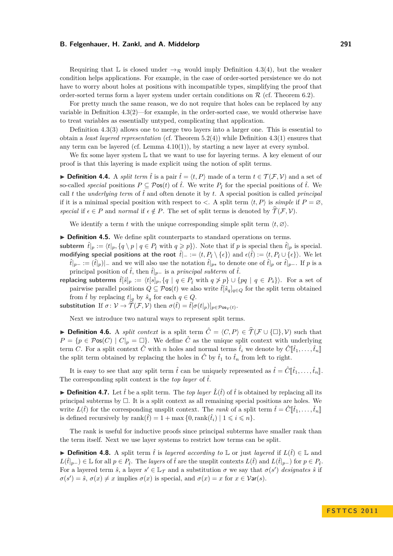Requiring that L is closed under  $\rightarrow_{\mathcal{R}}$  would imply Definition [4.3\(](#page-2-1)4), but the weaker condition helps applications. For example, in the case of order-sorted persistence we do not have to worry about holes at positions with incompatible types, simplifying the proof that order-sorted terms form a layer system under certain conditions on  $R$  (cf. Theorem [6.2\)](#page-8-1).

For pretty much the same reason, we do not require that holes can be replaced by any variable in Definition [4.3\(](#page-2-1)2)—for example, in the order-sorted case, we would otherwise have to treat variables as essentially untyped, complicating that application.

Definition [4.3\(](#page-2-1)3) allows one to merge two layers into a larger one. This is essential to obtain a *least layered representation* (cf. Theorem [5.2\(](#page-5-0)4)) while Definition [4.3\(](#page-2-1)1) ensures that any term can be layered (cf. Lemma  $4.10(1)$ ), by starting a new layer at every symbol.

We fix some layer system  $L$  that we want to use for layering terms. A key element of our proof is that this layering is made explicit using the notion of split terms.

**► Definition 4.4.** A *split term*  $\hat{t}$  is a pair  $\hat{t} = \langle t, P \rangle$  made of a term  $t \in \mathcal{T}(\mathcal{F}, \mathcal{V})$  and a set of so-called *special* positions  $P \subseteq \mathcal{P}$ os $(t)$  of  $\hat{t}$ . We write  $P_i$  for the special positions of  $\hat{t}$ . We call t the *underlying term* of  $\hat{t}$  and often denote it by t. A special position is called *principal* if it is a minimal special position with respect to  $\langle$ . A split term  $\langle t, P \rangle$  is *simple* if  $P = \emptyset$ , *special* if  $\epsilon \in P$  and *normal* if  $\epsilon \notin P$ . The set of split terms is denoted by  $\widehat{\mathcal{T}}(\mathcal{F}, \mathcal{V})$ .

We identify a term *t* with the unique corresponding simple split term  $\langle t, \varnothing \rangle$ .

**Definition 4.5.** We define split counterparts to standard operations on terms.

**subterm**  $\hat{t}|_p := \langle t|_p, \{q \setminus p \mid q \in P_t \text{ with } q \geqslant p \} \rangle$ . Note that if p is special then  $\hat{t}|_p$  is special. **modifying special positions at the root**  $\hat{t}|_p := \langle t, P_{\hat{t}} \setminus \{\epsilon\} \rangle$  and  $\epsilon(\hat{t}) := \langle t, P_{\hat{t}} \cup \{\epsilon\} \rangle$ . We let

*t*<sup>γ</sup><sub>*p*− :=  $(\hat{t}|_p)$ <sub>1</sub>− and we will also use the notation  $\hat{t}|_{p*}$  to denote one of  $\hat{t}|_p$  or  $\hat{t}|_{p-}$ . If *p* is a</sub> principal position of  $\hat{t}$ , then  $\hat{t}|_{p-}$  is a *principal subterm* of  $\hat{t}$ .

**replacing subterms**  $\hat{t}[\hat{s}]_p := \langle t[s]_p, \{q \mid q \in P_t \text{ with } q \ngeq p \} \cup \{pq \mid q \in P_{\hat{s}}\}\rangle$ . For a set of pairwise parallel positions  $Q \subseteq \mathcal{P}$ os(*t*) we also write  $\hat{t}[\hat{s}_q]_{q \in Q}$  for the split term obtained from  $\hat{t}$  by replacing  $t|_q$  by  $\hat{s}_q$  for each  $q \in Q$ .

**substitution** If  $\sigma: \mathcal{V} \to \widehat{\mathcal{T}}(\mathcal{F}, \mathcal{V})$  then  $\sigma(\hat{t}) = \hat{t}[\sigma(t|_p)]_{p \in \mathcal{P} \infty_{\mathcal{V}}(t)}$ .

Next we introduce two natural ways to represent split terms.

**► Definition 4.6.** A *split context* is a split term  $\hat{C} = \langle C, P \rangle \in \hat{\mathcal{T}}(\mathcal{F} \cup \{\Box\}, \mathcal{V})$  such that  $P = \{p \in \mathcal{P} \infty(C) \mid C|_p = \Box\}$ . We define  $\hat{C}$  as the unique split context with underlying term *C*. For a split context  $\hat{C}$  with *n* holes and normal terms  $\hat{t}_i$  we denote by  $\hat{C}[\hat{t}_1, \ldots, \hat{t}_n]$ the split term obtained by replacing the holes in  $\hat{C}$  by  $\hat{t}_1$  to  $\hat{t}_n$  from left to right.

It is easy to see that any split term  $\hat{t}$  can be uniquely represented as  $\hat{t} = \hat{C}[\hat{t}_1, \dots, \hat{t}_n]$ . The corresponding split context is the *top layer* of  $\hat{t}$ .

**Definition 4.7.** Let  $\hat{t}$  be a split term. The *top layer*  $\hat{L}(\hat{t})$  of  $\hat{t}$  is obtained by replacing all its principal subterms by  $\Box$ . It is a split context as all remaining special positions are holes. We write  $L(\hat{t})$  for the corresponding unsplit context. The *rank* of a split term  $\hat{t} = \hat{C}[\hat{t}_1, \dots, \hat{t}_n]$ is defined recursively by rank $(\hat{t}) = 1 + \max\{0, \text{rank}(\hat{t}_i) \mid 1 \leq i \leq n\}.$ 

The rank is useful for inductive proofs since principal subterms have smaller rank than the term itself. Next we use layer systems to restrict how terms can be split.

**► Definition 4.8.** A split term  $\hat{t}$  is *layered according to*  $\mathbb{L}$  or just *layered* if  $L(\hat{t}) \in \mathbb{L}$  and *L*( $\hat{t}$ |<sub>*p*−</sub>) ∈ L for all *p* ∈ *P*<sub>f</sub><sup> $>$ </sup>. The *layers* of  $\hat{t}$  are the unsplit contexts  $L(\hat{t})$  and  $L(\hat{t}|_{p-})$  for *p* ∈ *P*<sub>f</sub><sup> $>$ </sup>. For a layered term  $\hat{s}$ , a layer  $s' \in \mathbb{L}\tau$  and a substitution  $\sigma$  we say that  $\sigma(s')$  *designates*  $\hat{s}$  if  $\sigma(s') = \hat{s}, \sigma(x) \neq x$  implies  $\sigma(x)$  is special, and  $\sigma(x) = x$  for  $x \in \mathcal{V}$ ar(*s*).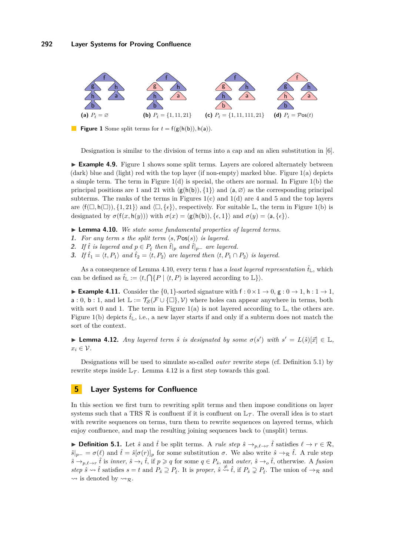<span id="page-4-6"></span><span id="page-4-5"></span><span id="page-4-3"></span><span id="page-4-2"></span>

 $\mathcal{L}_{\mathcal{A}}$ **Figure 1** Some split terms for  $t = f(g(h(b)), h(a))$ .

<span id="page-4-4"></span>Designation is similar to the division of terms into a cap and an alien substitution in [\[6\]](#page-11-2).

**Example 4.9.** Figure [1](#page-4-2) shows some split terms. Layers are colored alternately between (dark) blue and (light) red with the top layer (if non-empty) marked blue. Figure [1](#page-4-2)[\(a\)](#page-4-3) depicts a simple term. The term in Figure  $1(d)$  $1(d)$  is special, the others are normal. In Figure  $1(b)$  $1(b)$  the principal positions are 1 and 21 with  $\langle g(h(b)), \{1\} \rangle$  and  $\langle a, \emptyset \rangle$  as the corresponding principal subterms. The ranks of the terms in Figures  $1(c)$  $1(c)$  and  $1(d)$  $1(d)$  are 4 and 5 and the top layers are  $\langle f(\Box, h(\Box)), \{1, 21\}\rangle$  and  $\langle \Box, \{\epsilon\}\rangle$ , respectively. For suitable L, the term in Figure [1](#page-4-2)[\(b\)](#page-4-5) is designated by  $\sigma(f(x, h(y)))$  with  $\sigma(x) = \langle g(h(b)), \{ \epsilon, 1 \} \rangle$  and  $\sigma(y) = \langle a, \{ \epsilon \} \rangle$ .

<span id="page-4-1"></span>I **Lemma 4.10.** *We state some fundamental properties of layered terms.*

- **1.** For any term *s* the split term  $\langle s, \mathcal{P}os(s) \rangle$  is layered.
- **2.** *If*  $\hat{t}$  *is layered and*  $p \in P_{\hat{t}}$  *then*  $\hat{t}|_{p}$  *and*  $\hat{t}|_{p-}$  *are layered.*
- **3.** *If*  $\hat{t}_1 = \langle t, P_1 \rangle$  *and*  $\hat{t}_2 = \langle t, P_2 \rangle$  *are layered then*  $\langle t, P_1 \cap P_2 \rangle$  *is layered.*

As a consequence of Lemma [4.10,](#page-4-1) every term t has a *least layered representation*  $\hat{t}_L$ , which can be defined as  $\hat{t}_{\mathbb{L}} := \langle t, \bigcap \{ P \mid \langle t, P \rangle \text{ is layered according to } \mathbb{L} \} \rangle.$ 

**Example 4.11.** Consider the {0, 1}-sorted signature with  $f : 0 \times 1 \rightarrow 0$ ,  $g : 0 \rightarrow 1$ ,  $h : 1 \rightarrow 1$ , a : 0, b : 1, and let  $\mathbb{L} := \mathcal{T}_{\mathcal{S}}(\mathcal{F} \cup \{\Box\}, \mathcal{V})$  where holes can appear anywhere in terms, both with sort 0 and [1](#page-4-2). The term in Figure 1[\(a\)](#page-4-3) is not layered according to  $\mathbb{L}$ , the others are. Figure [1](#page-4-2)[\(b\)](#page-4-5) depicts  $\hat{t}_L$ , i.e., a new layer starts if and only if a subterm does not match the sort of the context.

<span id="page-4-8"></span>**► Lemma 4.12.** *Any layered term*  $\hat{s}$  *is designated by some*  $\sigma(s')$  *with*  $s' = L(\hat{s})[\vec{x}] \in \mathbb{L}$ *,*  $x_i \in \mathcal{V}$ .

Designations will be used to simulate so-called *outer* rewrite steps (cf. Definition [5.1\)](#page-4-7) by rewrite steps inside  $\mathbb{L}_{\mathcal{T}}$ . Lemma [4.12](#page-4-8) is a first step towards this goal.

# <span id="page-4-0"></span>**5 Layer Systems for Confluence**

In this section we first turn to rewriting split terms and then impose conditions on layer systems such that a TRS  $\mathcal R$  is confluent if it is confluent on  $\mathbb L_{\mathcal T}$ . The overall idea is to start with rewrite sequences on terms, turn them to rewrite sequences on layered terms, which enjoy confluence, and map the resulting joining sequences back to (unsplit) terms.

<span id="page-4-7"></span>**▶ Definition 5.1.** Let  $\hat{s}$  and  $\hat{t}$  be split terms. A *rule step*  $\hat{s} \rightarrow_{p,\ell \rightarrow r} \hat{t}$  satisfies  $\ell \rightarrow r \in \mathcal{R}$ ,  $\hat{s}|_{p-} = \sigma(\ell)$  and  $\hat{t} = \hat{s}[\sigma(r)]_p$  for some substitution  $\sigma$ . We also write  $\hat{s} \to_R \hat{t}$ . A rule step  $\hat{s} \rightarrow_{p,\ell \to r} \hat{t}$  is *inner*,  $\hat{s} \rightarrow_i \hat{t}$ , if  $p \geq q$  for some  $q \in P_{\hat{s}}$ , and *outer*,  $\hat{s} \rightarrow_o \hat{t}$ , otherwise. A *fusion step*  $\hat{s} \rightarrow \hat{t}$  satisfies  $s = t$  and  $P_{\hat{s}} \supseteq P_{\hat{t}}$ . It is *proper*,  $\hat{s} \stackrel{\neq}{\leftrightarrow} \hat{t}$ , if  $P_{\hat{s}} \supseteq P_{\hat{t}}$ . The union of  $\rightarrow_R$  and  $\rightsquigarrow$  is denoted by  $\rightsquigarrow_{\mathcal{R}}$ .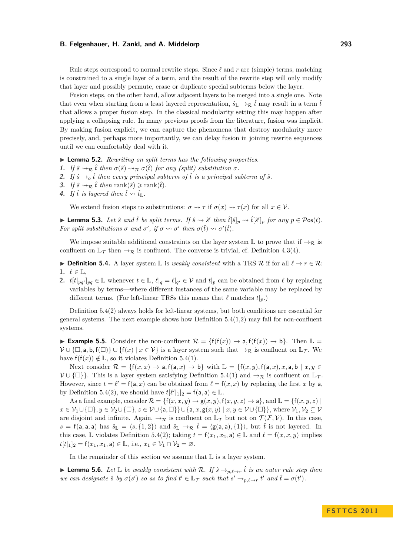Rule steps correspond to normal rewrite steps. Since  $\ell$  and  $r$  are (simple) terms, matching is constrained to a single layer of a term, and the result of the rewrite step will only modify that layer and possibly permute, erase or duplicate special subterms below the layer.

Fusion steps, on the other hand, allow adjacent layers to be merged into a single one. Note that even when starting from a least layered representation,  $\hat{s}_{\mathbb{L}} \to_R \hat{t}$  may result in a term  $\hat{t}$ that allows a proper fusion step. In the classical modularity setting this may happen after applying a collapsing rule. In many previous proofs from the literature, fusion was implicit. By making fusion explicit, we can capture the phenomena that destroy modularity more precisely, and, perhaps more importantly, we can delay fusion in joining rewrite sequences until we can comfortably deal with it.

- <span id="page-5-0"></span>I **Lemma 5.2.** *Rewriting on split terms has the following properties.*
- **1.** If  $\hat{s} \rightsquigarrow_{\mathcal{R}} \hat{t}$  then  $\sigma(\hat{s}) \rightsquigarrow_{\mathcal{R}} \sigma(\hat{t})$  for any (split) substitution  $\sigma$ .
- **2.** If  $\hat{s} \rightarrow o \hat{t}$  then every principal subterm of  $\hat{t}$  is a principal subterm of  $\hat{s}$ .
- **3.** If  $\hat{s} \rightarrow \pi \hat{t}$  then rank( $\hat{s}$ )  $\geq$  rank( $\hat{t}$ ).
- **4.** If  $\hat{t}$  is layered then  $\hat{t} \rightsquigarrow \hat{t}_{\mathbb{L}}$ .

We extend fusion steps to substitutions:  $\sigma \rightsquigarrow \tau$  if  $\sigma(x) \rightsquigarrow \tau(x)$  for all  $x \in V$ .

**Lemma 5.3.** Let  $\hat{s}$  and  $\hat{t}$  be split terms. If  $\hat{s} \rightsquigarrow \hat{s}'$  then  $\hat{t}[\hat{s}]_p \rightsquigarrow \hat{t}[\hat{s}']_p$  for any  $p \in \mathcal{P}$ os(t). *For split substitutions*  $\sigma$  *and*  $\sigma'$ , *if*  $\sigma \leadsto \sigma'$  *then*  $\sigma(\hat{t}) \leadsto \sigma'(\hat{t})$ *.* 

We impose suitable additional constraints on the layer system L to prove that if  $\rightarrow_R$  is confluent on  $\mathbb{L}_{\mathcal{T}}$  then  $\rightarrow_{\mathcal{R}}$  is confluent. The converse is trivial, cf. Definition [4.3\(](#page-2-1)4).

<span id="page-5-1"></span>**▶ Definition 5.4.** A layer system  $\mathbb{L}$  is *weakly consistent* with a TRS R if for all  $\ell \to r \in \mathbb{R}$ : 1.  $\ell \in \mathbb{L}$ ,

**2.**  $t[t]_{pq'}]_{pq} \in \mathbb{L}$  whenever  $t \in \mathbb{L}$ ,  $\ell|_q = \ell|_{q'} \in \mathcal{V}$  and  $t|_p$  can be obtained from  $\ell$  by replacing variables by terms—where different instances of the same variable may be replaced by different terms. (For left-linear TRSs this means that  $\ell$  matches  $t|_p$ .)

Definition [5.4\(](#page-5-1)2) always holds for left-linear systems, but both conditions are essential for general systems. The next example shows how Definition  $5.4(1,2)$  may fail for non-confluent systems.

**► Example 5.5.** Consider the non-confluent  $\mathcal{R} = \{f(f(x)) \to a, f(f(x)) \to b\}$ . Then  $\mathbb{L} =$  $V \cup \{\Box, \mathsf{a}, \mathsf{b}, \mathsf{f}(\Box)\} \cup \{\mathsf{f}(x) \mid x \in V\}$  is a layer system such that  $\rightarrow_{\mathcal{R}}$  is confluent on  $\mathbb{L}_{\mathcal{T}}$ . We have  $f(f(x)) \notin \mathbb{L}$ , so it violates Definition [5.4\(](#page-5-1)1).

Next consider  $\mathcal{R} = \{f(x, x) \to a, f(a, x) \to b\}$  with  $\mathbb{L} = \{f(x, y), f(a, x), x, a, b \mid x, y \in$  $V \cup \{\Box\}$ . This is a layer system satisfying Definition [5.4\(](#page-5-1)1) and  $\rightarrow_{\mathcal{R}}$  is confluent on  $\mathbb{L}_{\mathcal{T}}$ . However, since  $t = \ell' = f(a, x)$  can be obtained from  $\ell = f(x, x)$  by replacing the first *x* by a, by Definition [5.4\(](#page-5-1)2), we should have  $t[\ell']_1|_2 = f(a, a) \in \mathbb{L}$ .

As a final example, consider  $\mathcal{R} = \{f(x, x, y) \to g(x, y), f(x, y, z) \to a\}$ , and  $\mathbb{L} = \{f(x, y, z) \mid \mathbb{L}\}$  $x \in V_1 \cup \{\Box\}, y \in V_2 \cup \{\Box\}, z \in V \cup \{a, \Box\} \} \cup \{a, x, g(x, y) \mid x, y \in V \cup \{\Box\}\},\$  where  $V_1, V_2 \subseteq V$ are disjoint and infinite. Again,  $\rightarrow_{\mathcal{R}}$  is confluent on  $\mathbb{L}_{\mathcal{T}}$  but not on  $\mathcal{T}(\mathcal{F}, \mathcal{V})$ . In this case,  $s = f(a, a, a)$  has  $\hat{s}_\mathbb{L} = \langle s, \{1, 2\}\rangle$  and  $\hat{s}_\mathbb{L} \to_R \hat{t} = \langle g(a, a), \{1\}\rangle$ , but  $\hat{t}$  is not layered. In this case, L violates Definition [5.4\(](#page-5-1)2); taking  $t = f(x_1, x_2, a) \in \mathbb{L}$  and  $\ell = f(x, x, y)$  implies  $t[t]_1]_2 = f(x_1, x_1, a) \in \mathbb{L}$ , i.e.,  $x_1 \in \mathcal{V}_1 \cap \mathcal{V}_2 = \emptyset$ .

In the remainder of this section we assume that  $\mathbb L$  is a layer system.

<span id="page-5-2"></span>► **Lemma 5.6.** *Let*  $\mathbb{L}$  *be weakly consistent with*  $\mathcal{R}$ *. If*  $\hat{s} \rightarrow_{p,\ell \rightarrow r} \hat{t}$  *is an outer rule step then we can designate*  $\hat{s}$  *by*  $\sigma(s')$  *so as to find*  $t' \in \mathbb{L}$  $\tau$  *such that*  $s' \to_{p,\ell \to r} t'$  *and*  $\hat{t} = \sigma(t')$ *.*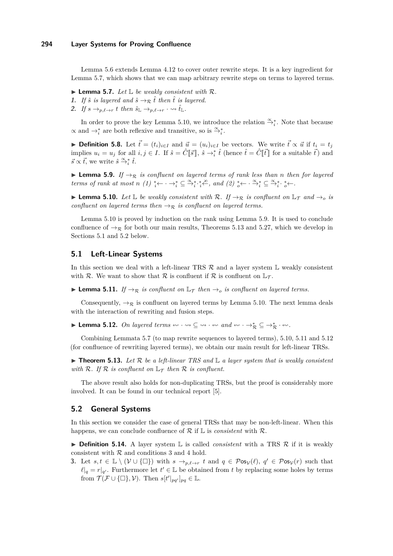### **294 Layer Systems for Proving Confluence**

Lemma [5.6](#page-5-2) extends Lemma [4.12](#page-4-8) to cover outer rewrite steps. It is a key ingredient for Lemma [5.7,](#page-6-0) which shows that we can map arbitrary rewrite steps on terms to layered terms.

- <span id="page-6-0"></span> $\blacktriangleright$  **Lemma 5.7.** *Let*  $\mathbb{L}$  *be weakly consistent with*  $\mathcal{R}$ *.*
- **1.** If  $\hat{s}$  is layered and  $\hat{s} \rightarrow_R \hat{t}$  then  $\hat{t}$  is layered.
- **2.** If  $s \rightarrow_{p,\ell \to r} t$  then  $\hat{s}_{\mathbb{L}} \rightarrow_{p,\ell \to r} \cdot \hat{t}_{\mathbb{L}}$ .

In order to prove the key Lemma [5.10,](#page-6-1) we introduce the relation  $\overset{\infty}{\rightarrow}_i^*$ . Note that because  $\alpha$  and  $\rightarrow_i^*$  are both reflexive and transitive, so is  $\stackrel{\alpha}{\rightarrow_i^*}$ .

▶ Definition 5.8. Let  $\vec{t} = (t_i)_{i \in I}$  and  $\vec{u} = (u_i)_{i \in I}$  be vectors. We write  $\vec{t} \propto \vec{u}$  if  $t_i = t_j$ implies  $u_i = u_j$  for all  $i, j \in I$ . If  $\hat{s} = \hat{C}[\![\vec{s}]\!], \hat{s} \to_i^* \hat{t}$  (hence  $\hat{t} = \hat{C}[\![\vec{t}]\!]$  for a suitable  $\vec{t}$ ) and  $\vec{s} \propto \vec{t}$ , we write  $\hat{s} \stackrel{\propto}{\rightarrow}^*_{i} \hat{t}$ .

<span id="page-6-2"></span>**I Lemma 5.9.** *If*  $\rightarrow \mathbb{R}$  *is confluent on layered terms of rank less than n then for layered terms of rank at most n (1)*  ${}_{i}^{*} \leftarrow \cdots \rightarrow {}_{i}^{*} \subseteq \frac{\alpha}{i} {}_{i}^{*} {}_{i}^{*} \frac{\infty}{i}$ , and (2)  ${}_{o}^{*} \leftarrow \cdots \frac{\alpha}{i} {}_{i}^{*} \subseteq \frac{\alpha}{i} {}_{i}^{*} {}_{o}^{*} \leftarrow$ .

<span id="page-6-1"></span>**► Lemma 5.10.** Let  $\mathbb{L}$  be weakly consistent with R. If  $\rightarrow_{\mathcal{R}}$  is confluent on  $\mathbb{L}_{\mathcal{T}}$  and  $\rightarrow_{o}$  is *confluent on layered terms then*  $\rightarrow$ <sub> $\mathcal{R}$ </sub> *is confluent on layered terms.* 

Lemma [5.10](#page-6-1) is proved by induction on the rank using Lemma [5.9.](#page-6-2) It is used to conclude confluence of  $\rightarrow_{\mathcal{R}}$  for both our main results, Theorems [5.13](#page-6-3) and [5.27,](#page-8-2) which we develop in Sections [5.1](#page-6-4) and [5.2](#page-6-5) below.

## <span id="page-6-4"></span>**5.1 Left-Linear Systems**

In this section we deal with a left-linear TRS  $\mathcal R$  and a layer system  $\mathbb L$  weakly consistent with R. We want to show that R is confluent if R is confluent on  $\mathbb{L}_{\mathcal{T}}$ .

<span id="page-6-6"></span>**► Lemma 5.11.** *If*  $\rightarrow \mathbb{R}$  *is confluent on*  $\mathbb{L}_{\mathcal{T}}$  *then*  $\rightarrow$ *o is confluent on layered terms.* 

Consequently,  $\rightarrow_{\mathcal{R}}$  is confluent on layered terms by Lemma [5.10.](#page-6-1) The next lemma deals with the interaction of rewriting and fusion steps.

<span id="page-6-7"></span>**Lemma 5.12.** On layered terms  $\leftrightarrow \cdot \rightarrow \cdot \subseteq \rightarrow \cdot \leftrightarrow \cdot$  and  $\leftrightarrow \cdot \rightarrow^*_{\mathcal{R}} \subseteq \rightarrow^*_{\mathcal{R}} \cdot \leftrightarrow \cdot$ .

Combining Lemmata [5.7](#page-6-0) (to map rewrite sequences to layered terms), [5.10,](#page-6-1) [5.11](#page-6-6) and [5.12](#page-6-7) (for confluence of rewriting layered terms), we obtain our main result for left-linear TRSs.

<span id="page-6-3"></span> $\blacktriangleright$  **Theorem 5.13.** Let R be a left-linear TRS and  $\mathbb{L}$  a layer system that is weakly consistent *with*  $\mathcal{R}$ *. If*  $\mathcal{R}$  *is confluent on*  $\mathbb{L}_{\mathcal{T}}$  *then*  $\mathcal{R}$  *is confluent.* 

The above result also holds for non-duplicating TRSs, but the proof is considerably more involved. It can be found in our technical report [\[5\]](#page-11-13).

#### <span id="page-6-5"></span>**5.2 General Systems**

In this section we consider the case of general TRSs that may be non-left-linear. When this happens, we can conclude confluence of  $\mathcal R$  if  $\mathbb L$  is *consistent* with  $\mathcal R$ .

<span id="page-6-8"></span> $\triangleright$  **Definition 5.14.** A layer system L is called *consistent* with a TRS  $\mathcal{R}$  if it is weakly consistent with  $R$  and conditions 3 and 4 hold.

**3.** Let  $s, t \in \mathbb{L} \setminus (\mathcal{V} \cup \{\Box\})$  with  $s \to_{p,\ell \to r} t$  and  $q \in \mathcal{P} \infty(\ell)$ ,  $q' \in \mathcal{P} \infty(\ell)$  such that  $\ell|_q = r|_{q'}$ . Furthermore let  $t' \in \mathbb{L}$  be obtained from *t* by replacing some holes by terms from  $\mathcal{T}(\mathcal{F} \cup \{\Box\}, \mathcal{V})$ . Then  $s[t'|_{pq'}]_{pq} \in \mathbb{L}$ .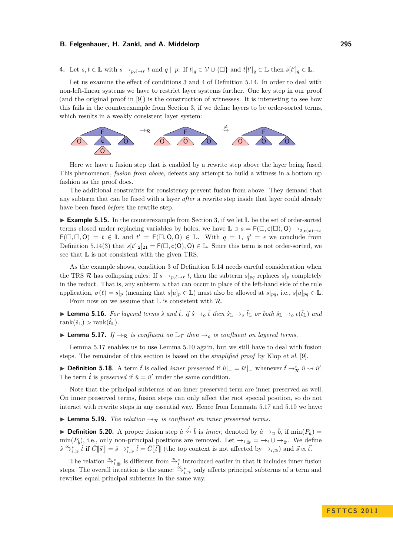**4.** Let  $s, t \in \mathbb{L}$  with  $s \to_{p,\ell \to r} t$  and  $q \parallel p$ . If  $t|_q \in \mathcal{V} \cup \{\Box\}$  and  $t[t']_q \in \mathbb{L}$  then  $s[t']_q \in \mathbb{L}$ .

Let us examine the effect of conditions 3 and 4 of Definition [5.14.](#page-6-8) In order to deal with non-left-linear systems we have to restrict layer systems further. One key step in our proof (and the original proof in [\[9\]](#page-11-9)) is the construction of witnesses. It is interesting to see how this fails in the counterexample from Section [3,](#page-1-0) if we define layers to be order-sorted terms, which results in a weakly consistent layer system:



Here we have a fusion step that is enabled by a rewrite step above the layer being fused. This phenomenon, *fusion from above*, defeats any attempt to build a witness in a bottom up fashion as the proof does.

The additional constraints for consistency prevent fusion from above. They demand that any subterm that can be fused with a layer *after* a rewrite step inside that layer could already have been fused *before* the rewrite step.

► **Example 5.15.** In the counterexample from Section [3,](#page-1-0) if we let L be the set of order-sorted terms closed under replacing variables by holes, we have  $\mathbb{L} \ni s = F(\Box, c(\Box), O) \rightarrow_{2} c(x) \rightarrow x$  $F(\Box, \Box, 0) = t \in \mathbb{L}$  and  $t' = F(\Box, 0, 0) \in \mathbb{L}$ . With  $q = 1, q' = \epsilon$  we conclude from Definition [5.14\(](#page-6-8)3) that  $s[t']_2|_{21} = F(\Box, c(O), O) \in \mathbb{L}$ . Since this term is not order-sorted, we see that L is not consistent with the given TRS.

As the example shows, condition 3 of Definition [5.14](#page-6-8) needs careful consideration when the TRS R has collapsing rules: If  $s \rightarrow_{p,\ell \to r} t$ , then the subterm  $s|_{pq}$  replaces  $s|_p$  completely in the reduct. That is, any subterm *u* that can occur in place of the left-hand side of the rule application,  $\sigma(\ell) = s|_p$  (meaning that  $s[u]_p \in \mathbb{L}$ ) must also be allowed at  $s|_{pq}$ , i.e.,  $s[u]_{pq} \in \mathbb{L}$ . From now on we assume that  $\mathbb L$  is consistent with  $\mathcal R$ .

▶ **Lemma 5.16.** For layered terms  $\hat{s}$  and  $\hat{t}$ , if  $\hat{s} \to_o \hat{t}$  then  $\hat{s}_\mathbb{L} \to_o \hat{t}_\mathbb{L}$  or both  $\hat{s}_\mathbb{L} \to_o \epsilon(\hat{t}_\mathbb{L})$  and  $rank(\hat{\mathbf{s}}_{\mathbb{L}}) > rank(\hat{t}_{\mathbb{L}})$ .

<span id="page-7-0"></span>**Lemma 5.17.** *If*  $\rightarrow_R$  *is confluent on*  $\mathbb{L}_{\mathcal{T}}$  *then*  $\rightarrow_o$  *is confluent on layered terms.* 

Lemma [5.17](#page-7-0) enables us to use Lemma [5.10](#page-6-1) again, but we still have to deal with fusion steps. The remainder of this section is based on the *simplified proof* by Klop et al. [\[9\]](#page-11-9).

**Definition 5.18.** A term  $\hat{t}$  is called *inner preserved* if  $\hat{u}|_{-} = \hat{u}'|_{-}$  whenever  $\hat{t} \to_{\mathcal{R}}^* \hat{u} \leadsto \hat{u}'$ . The term  $\hat{t}$  is *preserved* if  $\hat{u} = \hat{u}'$  under the same condition.

Note that the principal subterms of an inner preserved term are inner preserved as well. On inner preserved terms, fusion steps can only affect the root special position, so do not interact with rewrite steps in any essential way. Hence from Lemmata [5.17](#page-7-0) and [5.10](#page-6-1) we have:

<span id="page-7-1"></span>**Lemma 5.19.** *The relation*  $\Leftrightarrow_{\mathcal{R}}$  *is confluent on inner preserved terms.* 

**Definition 5.20.** A proper fusion step  $\hat{a} \stackrel{\neq}{\leadsto} \hat{b}$  is *inner*, denoted by  $\hat{a} \rightarrow_{\mathcal{D}} \hat{b}$ , if  $\min(P_{\hat{a}})$  $\min(P_{\hat{b}})$ , i.e., only non-principal positions are removed. Let  $\rightarrow_{i,\supseteq} \alpha \rightarrow_i \cup \rightarrow_{\supseteq}$ . We define  $\hat{s} \stackrel{\infty}{\rightarrow}_{i,\bar{z}}^* \hat{t}$  if  $\hat{C}[\vec{s}] = \hat{s} \rightarrow_{i,\bar{z}}^* \hat{t} = \hat{C}[\vec{t}]]$  (the top context is not affected by  $\rightarrow_{i,\bar{z}}$ ) and  $\vec{s} \propto \vec{t}$ .

The relation  $\mathfrak{S}_{i,\supseteq}^*$  is different from  $\mathfrak{S}_{i}^*$  introduced earlier in that it includes inner fusion steps. The overall intention is the same:  $\frac{\alpha_{*}}{\alpha_{*}}$  only affects principal subterms of a term and rewrites equal principal subterms in the same way.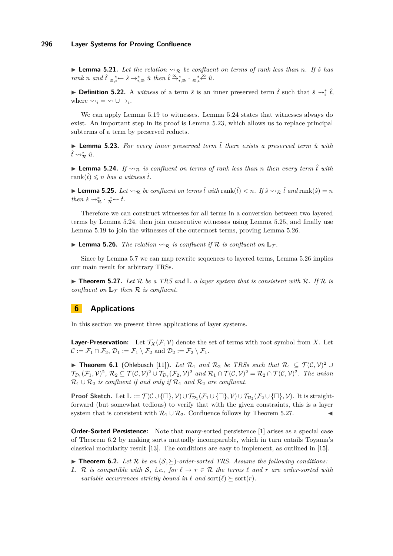**I Lemma 5.21.** Let the relation  $\sim_{\mathcal{R}}$  be confluent on terms of rank less than *n*. If  $\hat{s}$  has *rank n and*  $\hat{t} \in \mathbb{R}^*$ ,  $\hat{s} \to \mathbb{R}^*$ ,  $\hat{u}$  *then*  $\hat{t} \to \mathbb{R}^*$ ,  $\Rightarrow$   $\mathbb{R}^*$ ,  $\hat{c} \in \mathbb{R}^*$ ,  $\hat{c} \in \mathbb{R}^*$ 

**► Definition 5.22.** A *witness* of a term  $\hat{s}$  is an inner preserved term  $\hat{t}$  such that  $\hat{s} \rightsquigarrow_i^* \hat{t}$ , where  $\leadsto_i = \leadsto \cup \rightarrow_i$ .

We can apply Lemma [5.19](#page-7-1) to witnesses. Lemma [5.24](#page-8-3) states that witnesses always do exist. An important step in its proof is Lemma [5.23,](#page-8-4) which allows us to replace principal subterms of a term by preserved reducts.

<span id="page-8-4"></span> $\triangleright$  **Lemma 5.23.** For every inner preserved term  $\hat{t}$  there exists a preserved term  $\hat{u}$  with  $\hat{t} \rightsquigarrow_{\mathcal{R}}^* \hat{u}.$ 

<span id="page-8-3"></span>**I Lemma 5.24.** If  $\sim_{\mathcal{R}}$  is confluent on terms of rank less than *n* then every term  $\hat{t}$  with rank $(\hat{t}) \leq n$  *has a witness i.* 

<span id="page-8-5"></span>▶ **Lemma 5.25.** *Let*  $\sim$ <sub>*R*</sub></sub> *be confluent on terms*  $\hat{t}$  *with* rank( $\hat{t}$ )  $\lt$  *n*. *If*  $\hat{s} \sim$ <sub>*R*</sub>  $\hat{t}$  *and* rank( $\hat{s}$ ) = *n then*  $\dot{s} \rightsquigarrow_{\mathcal{R}}^* \cdot \underset{\mathcal{R}}{\ast} \rightsquigarrow \dot{t}$ .

Therefore we can construct witnesses for all terms in a conversion between two layered terms by Lemma [5.24,](#page-8-3) then join consecutive witnesses using Lemma [5.25,](#page-8-5) and finally use Lemma [5.19](#page-7-1) to join the witnesses of the outermost terms, proving Lemma [5.26.](#page-8-6)

<span id="page-8-6"></span>**Lemma 5.26.** *The relation*  $\rightsquigarrow_{\mathcal{R}}$  *is confluent if*  $\mathcal{R}$  *is confluent on*  $\mathbb{L}_{\mathcal{T}}$ *.* 

Since by Lemma [5.7](#page-6-0) we can map rewrite sequences to layered terms, Lemma [5.26](#page-8-6) implies our main result for arbitrary TRSs.

<span id="page-8-2"></span> $\triangleright$  **Theorem 5.27.** Let R be a TRS and L a layer system that is consistent with R. If R is *confluent on*  $\mathbb{L}_{\mathcal{T}}$  *then*  $\mathcal{R}$  *is confluent.* 

# <span id="page-8-0"></span>**6 Applications**

In this section we present three applications of layer systems.

**Layer-Preservation:** Let  $\mathcal{T}_X(\mathcal{F}, \mathcal{V})$  denote the set of terms with root symbol from X. Let  $\mathcal{C} := \mathcal{F}_1 \cap \mathcal{F}_2, \mathcal{D}_1 := \mathcal{F}_1 \setminus \mathcal{F}_2$  and  $\mathcal{D}_2 := \mathcal{F}_2 \setminus \mathcal{F}_1$ .

**Findmer Fig. 1** (Ohlebusch [\[11\]](#page-11-5)). Let  $\mathcal{R}_1$  and  $\mathcal{R}_2$  be TRSs such that  $\mathcal{R}_1$  ⊆  $\mathcal{T}(\mathcal{C},\mathcal{V})^2$  $\mathcal{T}_{\mathcal{D}_1}(\mathcal{F}_1, \mathcal{V})^2$ ,  $\mathcal{R}_2 \subseteq \mathcal{T}(\mathcal{C}, \mathcal{V})^2 \cup \mathcal{T}_{\mathcal{D}_2}(\mathcal{F}_2, \mathcal{V})^2$  and  $\mathcal{R}_1 \cap \mathcal{T}(\mathcal{C}, \mathcal{V})^2 = \mathcal{R}_2 \cap \mathcal{T}(\mathcal{C}, \mathcal{V})^2$ . The union  $\mathcal{R}_1 \cup \mathcal{R}_2$  *is confluent if and only if*  $\mathcal{R}_1$  *and*  $\mathcal{R}_2$  *are confluent.* 

**Proof Sketch.** Let  $\mathbb{L} := \mathcal{T}(\mathcal{C} \cup \{\Box\}, \mathcal{V}) \cup \mathcal{T}_{\mathcal{D}_1}(\mathcal{F}_1 \cup \{\Box\}, \mathcal{V}) \cup \mathcal{T}_{\mathcal{D}_2}(\mathcal{F}_2 \cup \{\Box\}, \mathcal{V})$ . It is straightforward (but somewhat tedious) to verify that with the given constraints, this is a layer system that is consistent with  $\mathcal{R}_1 \cup \mathcal{R}_2$ . Confluence follows by Theorem [5.27.](#page-8-2)

**Order-Sorted Persistence:** Note that many-sorted persistence [\[1\]](#page-11-8) arises as a special case of Theorem [6.2](#page-8-1) by making sorts mutually incomparable, which in turn entails Toyama's classical modularity result [\[13\]](#page-11-0). The conditions are easy to implement, as outlined in [\[15\]](#page-11-15).

<span id="page-8-1"></span>**Findment 5.2.** Let R be an  $(S, \geq)$ -order-sorted TRS. Assume the following conditions:

**1.** R is compatible with S, i.e., for  $\ell \to r \in \mathbb{R}$  the terms  $\ell$  and  $r$  are order-sorted with *variable occurrences strictly bound in*  $\ell$  *and* sort $(\ell) \succeq$  sort $(r)$ *.*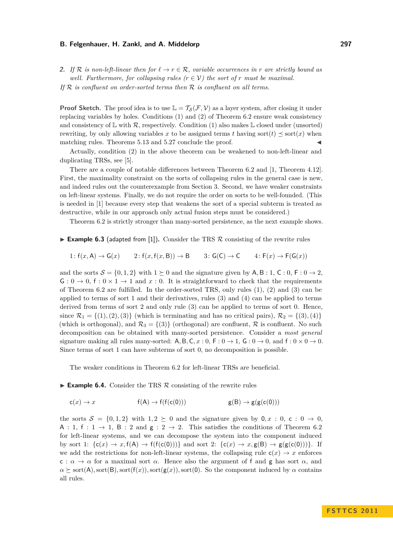**2.** If R is non-left-linear then for  $\ell \to r \in \mathbb{R}$ , variable occurrences in r are strictly bound as *well. Furthermore, for collapsing rules*  $(r \in V)$  *the sort of r must be maximal. If* R *is confluent on order-sorted terms then* R *is confluent on all terms.*

**Proof Sketch.** The proof idea is to use  $\mathbb{L} = \mathcal{T}_{\mathcal{S}}(\mathcal{F}, \mathcal{V})$  as a layer system, after closing it under replacing variables by holes. Conditions (1) and (2) of Theorem [6.2](#page-8-1) ensure weak consistency and consistency of  $\mathbb L$  with  $\mathcal R$ , respectively. Condition (1) also makes  $\mathbb L$  closed under (unsorted) rewriting, by only allowing variables x to be assigned terms t having sort $(t) \preceq$  sort $(x)$  when matching rules. Theorems [5.13](#page-6-3) and [5.27](#page-8-2) conclude the proof.

Actually, condition (2) in the above theorem can be weakened to non-left-linear and duplicating TRSs, see [\[5\]](#page-11-13).

There are a couple of notable differences between Theorem [6.2](#page-8-1) and [\[1,](#page-11-8) Theorem 4.12]. First, the maximality constraint on the sorts of collapsing rules in the general case is new, and indeed rules out the counterexample from Section [3.](#page-1-0) Second, we have weaker constraints on left-linear systems. Finally, we do not require the order on sorts to be well-founded. (This is needed in [\[1\]](#page-11-8) because every step that weakens the sort of a special subterm is treated as destructive, while in our approach only actual fusion steps must be considered.)

Theorem [6.2](#page-8-1) is strictly stronger than many-sorted persistence, as the next example shows.

**Example 6.3** (adapted from [\[1\]](#page-11-8)). Consider the TRS  $\mathcal{R}$  consisting of the rewrite rules

$$
1: f(x, A) \to G(x) \qquad 2: f(x, f(x, B)) \to B \qquad 3: G(C) \to C \qquad 4: F(x) \to F(G(x))
$$

and the sorts  $S = \{0, 1, 2\}$  with  $1 \succeq 0$  and the signature given by A, B : 1, C : 0, F : 0  $\rightarrow$  2.  $G: 0 \to 0$ ,  $f: 0 \times 1 \to 1$  and  $x: 0$ . It is straightforward to check that the requirements of Theorem [6.2](#page-8-1) are fulfilled. In the order-sorted TRS, only rules (1), (2) and (3) can be applied to terms of sort 1 and their derivatives, rules (3) and (4) can be applied to terms derived from terms of sort 2 and only rule (3) can be applied to terms of sort 0. Hence, since  $\mathcal{R}_1 = \{(1), (2), (3)\}$  (which is terminating and has no critical pairs),  $\mathcal{R}_2 = \{(3), (4)\}$ (which is orthogonal), and  $\mathcal{R}_3 = \{3\}$  (orthogonal) are confluent,  $\mathcal R$  is confluent. No such decomposition can be obtained with many-sorted persistence. Consider a *most general* signature making all rules many-sorted: A, B, C, x : 0, F :  $0 \rightarrow 1$ , G :  $0 \rightarrow 0$ , and f :  $0 \times 0 \rightarrow 0$ . Since terms of sort 1 can have subterms of sort 0, no decomposition is possible.

The weaker conditions in Theorem [6.2](#page-8-1) for left-linear TRSs are beneficial.

**Example 6.4.** Consider the TRS  $\mathcal{R}$  consisting of the rewrite rules

$$
c(x) \to x \qquad f(A) \to f(f(c(0))) \qquad g(B) \to g(g(c(0)))
$$

the sorts  $S = \{0, 1, 2\}$  with  $1, 2 \succeq 0$  and the signature given by  $0, x : 0, c : 0 \to 0$ . A : 1, f : 1  $\rightarrow$  1, B : 2 and g : 2  $\rightarrow$  2. This satisfies the conditions of Theorem [6.2](#page-8-1) for left-linear systems, and we can decompose the system into the component induced by sort 1:  $\{c(x) \rightarrow x, f(A) \rightarrow f(f(c(0)))\}$  and sort 2:  $\{c(x) \rightarrow x, g(B) \rightarrow g(g(c(0)))\}$ . If we add the restrictions for non-left-linear systems, the collapsing rule  $c(x) \rightarrow x$  enforces c :  $\alpha \to \alpha$  for a maximal sort  $\alpha$ . Hence also the argument of f and g has sort  $\alpha$ , and  $\alpha \succeq \text{sort}(A)$ *,* sort( $f(x)$ *)*, sort( $g(x)$ *)*, sort(0). So the component induced by  $\alpha$  contains all rules.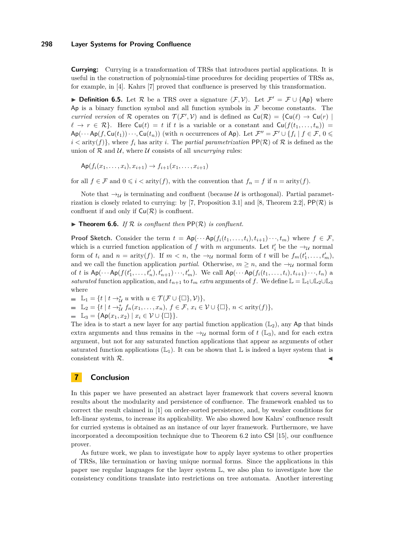## **298 Layer Systems for Proving Confluence**

**Currying:** Currying is a transformation of TRSs that introduces partial applications. It is useful in the construction of polynomial-time procedures for deciding properties of TRSs as, for example, in [\[4\]](#page-11-16). Kahrs [\[7\]](#page-11-10) proved that confluence is preserved by this transformation.

**Definition 6.5.** Let R be a TRS over a signature  $\langle \mathcal{F}, \mathcal{V} \rangle$ . Let  $\mathcal{F}' = \mathcal{F} \cup \{Ap\}$  where Ap is a binary function symbol and all function symbols in  $\mathcal F$  become constants. The *curried version* of R operates on  $\mathcal{T}(\mathcal{F}', \mathcal{V})$  and is defined as  $Cu(\mathcal{R}) = \{Cu(\ell) \to Cu(r) \mid$  $\ell \to r \in \mathcal{R}$ . Here  $\mathsf{Cu}(t) = t$  if *t* is a variable or a constant and  $\mathsf{Cu}(f(t_1, \ldots, t_n)) =$  $Ap(\cdots Ap(f, Cu(t_1))\cdots, Cu(t_n))$  (with *n* occurrences of Ap). Let  $\mathcal{F}'' = \mathcal{F}' \cup \{f_i \mid f \in \mathcal{F}, 0 \leq \mathcal{F} \}$  $i <$  arity( $f$ )}, where  $f_i$  has arity *i*. The *partial parametrization*  $PP(\mathcal{R})$  of  $\mathcal{R}$  is defined as the union of  $R$  and  $U$ , where  $U$  consists of all *uncurrying* rules:

 $\text{Ap}(f_i(x_1, \ldots, x_i), x_{i+1}) \rightarrow f_{i+1}(x_1, \ldots, x_{i+1})$ 

for all  $f \in \mathcal{F}$  and  $0 \leq i < \text{arity}(f)$ , with the convention that  $f_n = f$  if  $n = \text{arity}(f)$ .

Note that  $\rightarrow_{\mathcal{U}}$  is terminating and confluent (because U is orthogonal). Partial paramet-rization is closely related to currying: by [\[7,](#page-11-10) Proposition 3.1] and [\[8,](#page-11-11) Theorem 2.2],  $PP(\mathcal{R})$  is confluent if and only if  $Cu(R)$  is confluent.

 $\triangleright$  **Theorem 6.6.** *If*  $\mathcal{R}$  *is confluent then*  $\mathsf{PP}(\mathcal{R})$  *is confluent.* 

**Proof Sketch.** Consider the term  $t = Ap(\cdots Ap(f_i(t_1,\ldots,t_i),t_{i+1})\cdots,t_m)$  where  $f \in \mathcal{F}$ , which is a curried function application of  $f$  with  $m$  arguments. Let  $t'_{i}$  be the  $\rightarrow_{\mathcal{U}}$  normal form of  $t_i$  and  $n = \text{arity}(f)$ . If  $m < n$ , the  $\rightarrow_{\mathcal{U}}$  normal form of  $t$  will be  $f_m(t'_1, \ldots, t'_m)$ , and we call the function application *partial*. Otherwise,  $m \geq n$ , and the  $\rightarrow_{\mathcal{U}}$  normal form of t is  $Ap(\cdots Ap(f(t'_1,\ldots,t'_n),t'_{n+1})\cdots,t'_m)$ . We call  $Ap(\cdots Ap(f_i(t_1,\ldots,t_i),t_{i+1})\cdots,t_n)$  a *saturated* function application, and  $t_{n+1}$  to  $t_m$  *extra* arguments of *f*. We define  $\mathbb{L} = \mathbb{L}_1 \cup \mathbb{L}_2 \cup \mathbb{L}_3$ where

 $\mathbb{L}_1 = \{t \mid t \to_{\mathcal{U}}^* u \text{ with } u \in \mathcal{T}(\mathcal{F} \cup \{\Box\}, \mathcal{V})\},\$  $\mathbb{L}_2 = \{t \mid t \to_{\mathcal{U}}^* f_n(x_1, \ldots, x_n), f \in \mathcal{F}, x_i \in \mathcal{V} \cup \{\Box\}, n < \text{arity}(f)\},\$  $\blacksquare$  L<sub>3</sub> = {Ap(x<sub>1</sub>, x<sub>2</sub>) | x<sub>i</sub>  $\in \mathcal{V} \cup \{\Box\}$  }.

The idea is to start a new layer for any partial function application  $(L_2)$ , any Ap that binds extra arguments and thus remains in the  $\rightarrow_{\mathcal{U}}$  normal form of  $t$  (L<sub>3</sub>), and for each extra argument, but not for any saturated function applications that appear as arguments of other saturated function applications  $(\mathbb{L}_1)$ . It can be shown that  $\mathbb L$  is indeed a layer system that is consistent with  $\mathcal{R}$ .

# <span id="page-10-0"></span>**7 Conclusion**

In this paper we have presented an abstract layer framework that covers several known results about the modularity and persistence of confluence. The framework enabled us to correct the result claimed in [\[1\]](#page-11-8) on order-sorted persistence, and, by weaker conditions for left-linear systems, to increase its applicability. We also showed how Kahrs' confluence result for curried systems is obtained as an instance of our layer framework. Furthermore, we have incorporated a decomposition technique due to Theorem [6.2](#page-8-1) into CSI [\[15\]](#page-11-15), our confluence prover.

As future work, we plan to investigate how to apply layer systems to other properties of TRSs, like termination or having unique normal forms. Since the applications in this paper use regular languages for the layer system L, we also plan to investigate how the consistency conditions translate into restrictions on tree automata. Another interesting